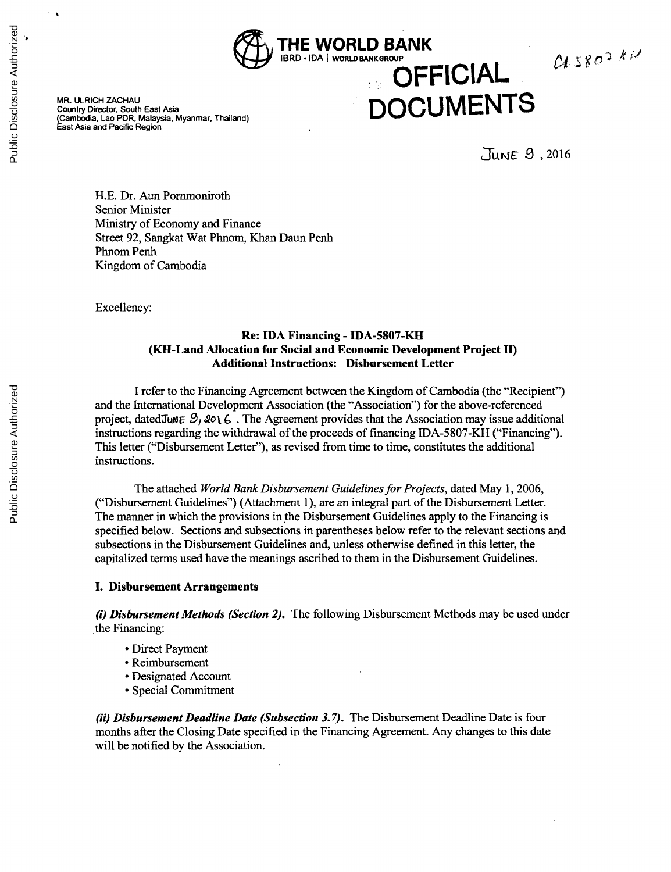

MR. ULRICH ZACHAU<br>Country Director, South East Asia<br>(Cambodia, Lao PDR, Malaysia, Myanmar, Thailand) **DOCUM ENTS** East Asia and Pacific Region

# **OFFICIAL**

uME& **.S ,2016**

 $0.5807 kV$ 

**H.E.** Dr. Aun Pornmoniroth Senior Minister Ministry of Economy and Finance Street **92,** Sangkat Wat Phnom, Khan Daun Penh Phnom Penh Kingdom of Cambodia

Excellency:

#### **Re: IDA Financing - IDA-5807-KH (KH-Land Allocation for Social and Economic Development Project II) Additional Instructions: Disbursement Letter**

**I** refer to the Financing Agreement between the Kingdom of Cambodia (the "Recipient") and the International Development Association (the "Association") for the above-referenced project, datedJuNE  $9, 2016$ . The Agreement provides that the Association may issue additional instructions regarding the withdrawal of the proceeds of financing IDA-5807-KH ("Financing"). This letter ("Disbursement Letter"), as revised from time to time, constitutes the additional instructions.

The attached *World Bank Disbursement Guidelines for Projects,* dated May **1, 2006,** ("Disbursement Guidelines") (Attachment **1),** are an integral part of the Disbursement Letter. The manner in which the provisions in the Disbursement Guidelines apply to the Financing is specified below. Sections and subsections in parentheses below refer to the relevant sections and subsections in the Disbursement Guidelines and, unless otherwise defined in this letter, the capitalized terms used have the meanings ascribed to them in the Disbursement Guidelines.

#### **I. Disbursement Arrangements**

*(i) Disbursement Methods (Section 2).* The following Disbursement Methods may be used under the Financing:

- \* Direct Payment
- \* Reimbursement
- \* Designated Account
- \* Special Commitment

*(ii) Disbursement Deadline Date (Subsection 3.7).* The Disbursement Deadline Date is four months after the Closing Date specified in the Financing Agreement. Any changes to this date will be notified **by** the Association.

 $\sim$   $\,$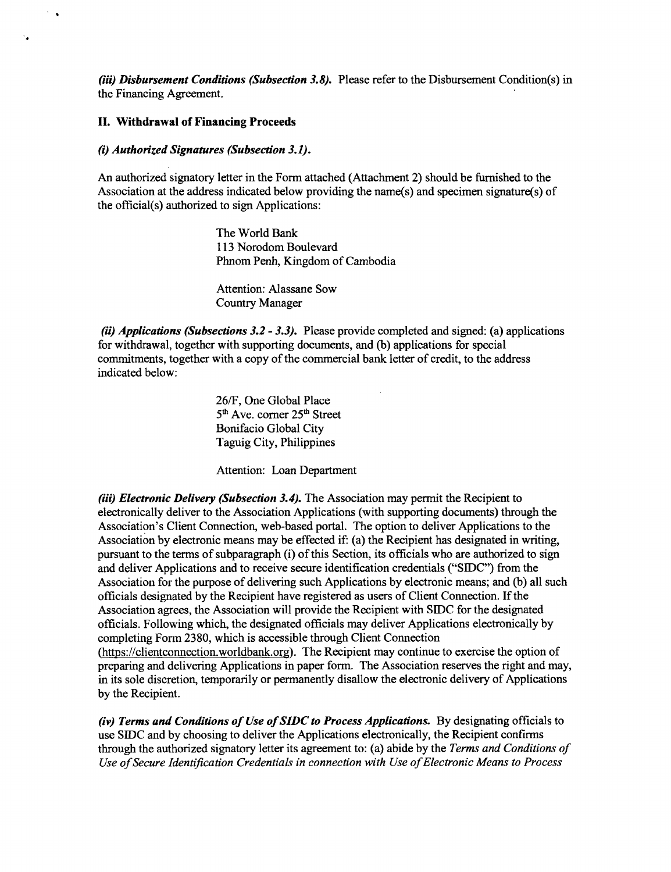*(iii) Disbursement Conditions (Subsection 3.8).* Please refer to the Disbursement Condition(s) in the Financing Agreement.

#### **II. Withdrawal of Financing Proceeds**

 $\sim$ 

 $\mathbf{v}_\mathbf{a}$ 

#### *(i) Authorized Signatures (Subsection 3.1).*

An authorized signatory letter in the Form attached (Attachment 2) should be furnished to the Association at the address indicated below providing the name(s) and specimen signature(s) of the official(s) authorized to sign Applications:

> The World Bank **113** Norodom Boulevard Phnom Penh, Kingdom of Cambodia

Attention: Alassane Sow Country Manager

*(ii) Applications (Subsections 3.2* **-** *3.3).* Please provide completed and signed: (a) applications for withdrawal, together with supporting documents, and **(b)** applications for special commitments, together with a copy of the commercial bank letter of credit, to the address indicated below:

> **26/F,** One Global Place **<sup>5</sup>'** Ave. corner **<sup>25</sup> '** Street Bonifacio Global City Taguig City, Philippines

Attention: Loan Department

*(iii) Electronic Delivery (Subsection 3.4).* The Association may permit the Recipient to electronically deliver to the Association Applications (with supporting documents) through the Association's Client Connection, web-based portal. The option to deliver Applications to the Association **by** electronic means may be effected if: (a) the Recipient has designated in writing, pursuant to the terms of subparagraph (i) of this Section, its officials who are authorized to sign and deliver Applications and to receive secure identification credentials **("SIDC")** from the Association for the purpose of delivering such Applications **by** electronic means; and **(b)** all such officials designated **by** the Recipient have registered as users of Client Connection. **If** the Association agrees, the Association will provide the Recipient with **SIDC** for the designated officials. Following which, the designated officials may deliver Applications electronically **by** completing Form **2380,** which is accessible through Client Connection (https://clientconnection.worldbank.org). The Recipient may continue to exercise the option of preparing and delivering Applications in paper form. The Association reserves the right and may, in its sole discretion, temporarily or permanently disallow the electronic delivery of Applications **by** the Recipient.

*(iv) Terms and Conditions of Use ofSIDC to Process Applications.* **By** designating officials to use **SIDC** and **by** choosing to deliver the Applications electronically, the Recipient confirms through the authorized signatory letter its agreement to: (a) abide **by** the *Terms and Conditions of Use ofSecure Identification Credentials in connection with Use ofElectronic Means to Process*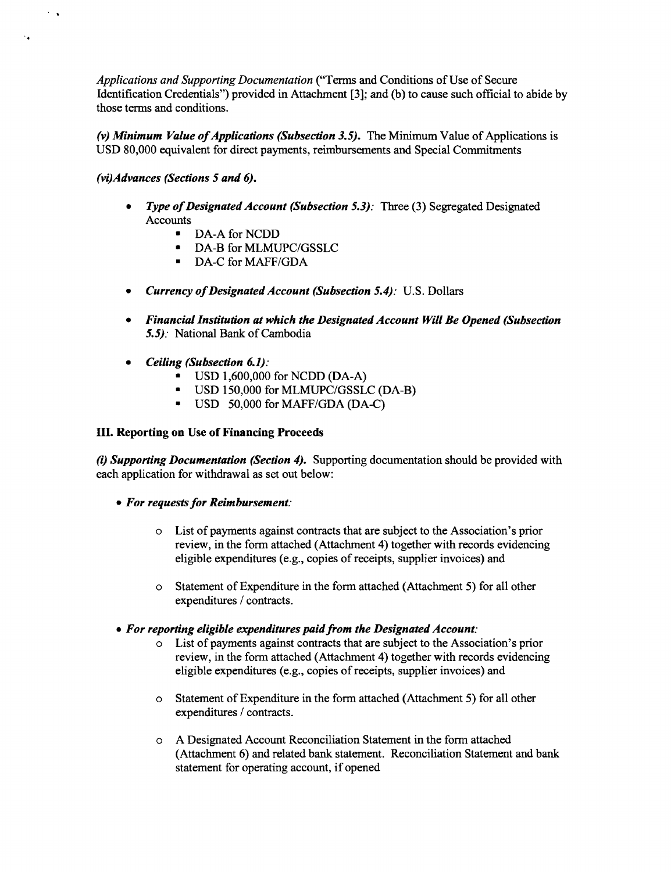*Applications and Supporting Documentation* ("Terms and Conditions of Use of Secure Identification Credentials") provided in Attachment **[3];** and **(b)** to cause such official to abide **by** those terms and conditions.

*(v) Minimum Value of Applications (Subsection 3.5).* The Minimum Value of Applications is **USD 80,000** equivalent for direct payments, reimbursements and Special Commitments

## *(vi)Advances (Sections 5 and 6).*

 $\sim$   $\sim$ 

 $\ddot{\phantom{0}}$ 

- \* *Type of Designated Account (Subsection 5.3):* Three **(3)** Segregated Designated Accounts
	- \* **DA-A** for **NCDD**
		- DA-B for **MLMUPC/GSSLC**
	- \* **DA-C** for **MAFF/GDA**
- *Currency of Designated Account (Subsection 5.4): U.S. Dollars*
- *\* Financial Institution at which the Designated Account Will Be Opened (Subsection 5.5).* National Bank of Cambodia
- *\* Ceiling (Subsection 6.1):*
	- \* **USD 1,600,000** for **NCDD (DA-A)**
	- \* **USD 150,000** for **MLMUPC/GSSLC** (DA-B)
	- \* **USD 50,000** for **MAFF/GDA (DA-C)**

## **III. Reporting on Use of Financing Proceeds**

*(i) Supporting Documentation (Section 4).* Supporting documentation should be provided with each application for withdrawal as set out below:

- *\* For requests for Reimbursement:*
	- 0 List of payments against contracts that are subject to the Association's prior review, in the form attached (Attachment 4) together with records evidencing eligible expenditures (e.g., copies of receipts, supplier invoices) and
	- " Statement of Expenditure in the form attached (Attachment **5)** for all other expenditures **/** contracts.
- *\* For reporting eligible expenditures paid from the Designated Account:*
	- 0 List of payments against contracts that are subject to the Association's prior review, in the form attached (Attachment 4) together with records evidencing eligible expenditures (e.g., copies of receipts, supplier invoices) and
	- " Statement of Expenditure in the form attached (Attachment **5)** for all other expenditures **/** contracts.
	- o **A** Designated Account Reconciliation Statement in the form attached (Attachment **6)** and related bank statement. Reconciliation Statement and bank statement for operating account, if opened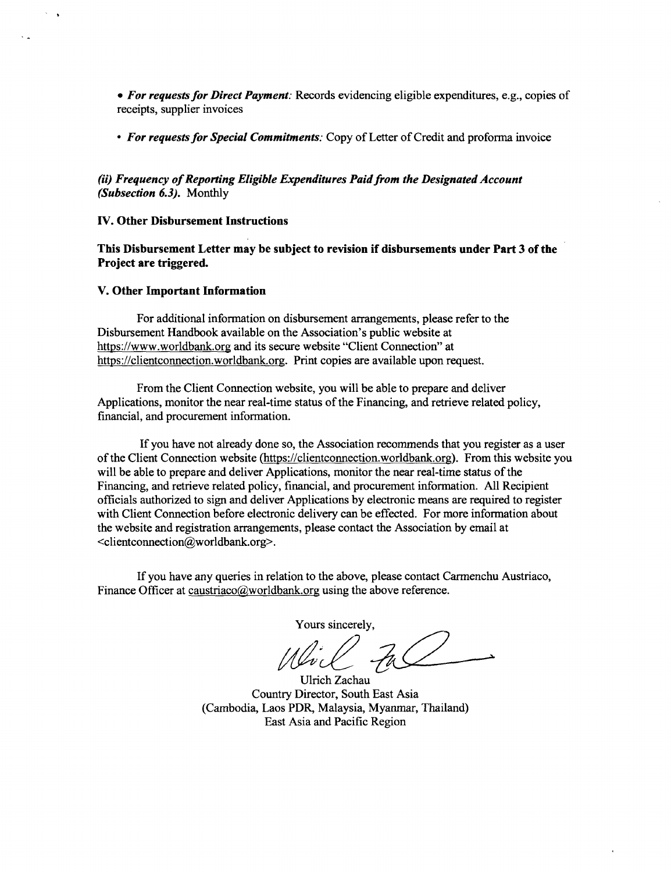*\* For requests for Direct Payment:* Records evidencing eligible expenditures, e.g., copies of receipts, supplier invoices

*\* For requests for Special Commitments:* Copy of Letter of Credit and proforma invoice

*(ii) Frequency of Reporting Eligible Expenditures Paid from the Designated Account (Subsection 6.3).* Monthly

#### **IV. Other Disbursement Instructions**

 $\sim$   $\,$ 

**This Disbursement Letter may be subject to revision if disbursements under Part 3 of the Project are triggered.**

#### **V. Other Important Information**

**For additional** information on disbursement arrangements, please refer to the Disbursement Handbook available on the Association's public website at https://www.worldbank.org and its secure website "Client Connection" at https://clientconnection.worldbank.org. Print copies are available upon request.

From the Client Connection website, you will be able to prepare and deliver Applications, monitor the near real-time status of the Financing, and retrieve related policy, financial, and procurement information.

**If** you have not already done so, the Association recommends that you register as a user of the Client Connection website (https://clientconnection.worldbank.org). From this website you will be able to prepare and deliver Applications, monitor the near real-time status of the Financing, and retrieve related policy, financial, and procurement information. **All** Recipient officials authorized to sign and deliver Applications **by** electronic means are required to register with Client Connection before electronic delivery can be effected. For more information about the website and registration arrangements, please contact the Association **by** email at <clientconnection@worldbank.org>.

**If** you have any queries in relation to the above, please contact Carmenchu Austriaco, Finance Officer at caustriaco@worldbank.org using the above reference.

Yours sincerely,

Ulrich Zachau Country Director, South East Asia (Cambodia, Laos PDR, Malaysia, Myanmar, Thailand) East Asia and Pacific Region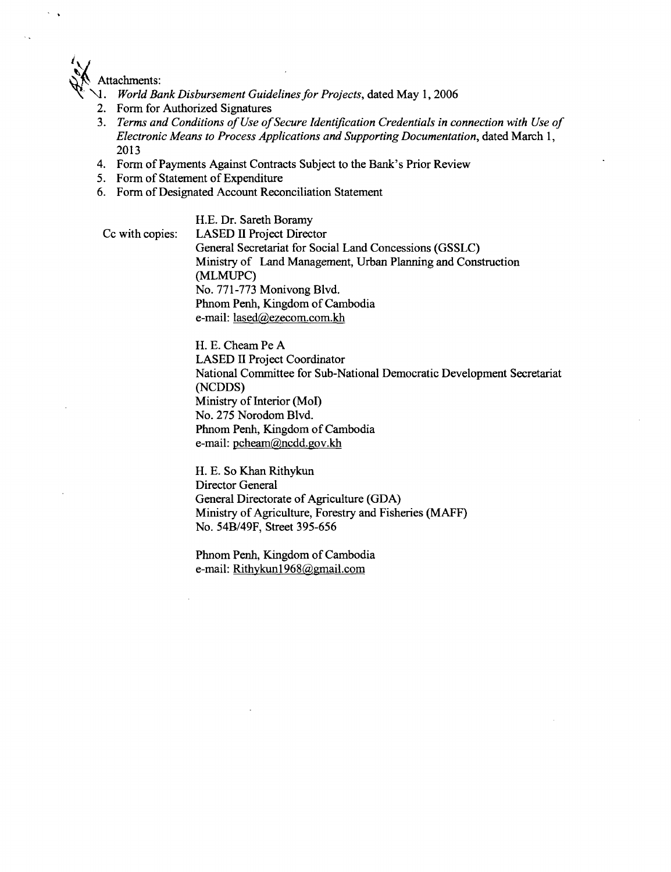

- \l4. *World Bank Disbursement Guidelines for Projects,* dated May **1, 2006**
- 2. Form for Authorized Signatures
- **3.** *Terms and Conditions of Use ofSecure Identification Credentials in connection with Use of Electronic Means to Process Applications and Supporting Documentation,* dated March **1, 2013**
- 4. Form of Payments Against Contracts Subject to the Bank's Prior Review
- *5.* Form of Statement of Expenditure
- **6.** Form of Designated Account Reconciliation Statement

**H.E.** Dr. Sareth Boramy Cc with copies: **LASED** II Project Director General Secretariat for Social Land Concessions **(GSSLC)** Ministry of Land Management, Urban Planning and Construction **(MLMUPC)** No. **771-773** Monivong Blvd. Phnom Penh, Kingdom of Cambodia e-mail: lased@ezecom.com.kh

> H. **E.** Cheam Pe **A LASED** II Project Coordinator National Committee for Sub-National Democratic Development Secretariat **(NCDDS)** Ministry of Interior (Mol) No. **275** Norodom Blvd. Phnom Penh, Kingdom of Cambodia e-mail: pcheam@ncdd.gov.kh

H. **E.** So Khan Rithykun Director General General Directorate of Agriculture **(GDA)** Ministry of Agriculture, Forestry and Fisheries (MAFF) No. 54B/49F, Street **395-656**

Phnom Penh, Kingdom of Cambodia e-mail: Rithykunl968@gmail.com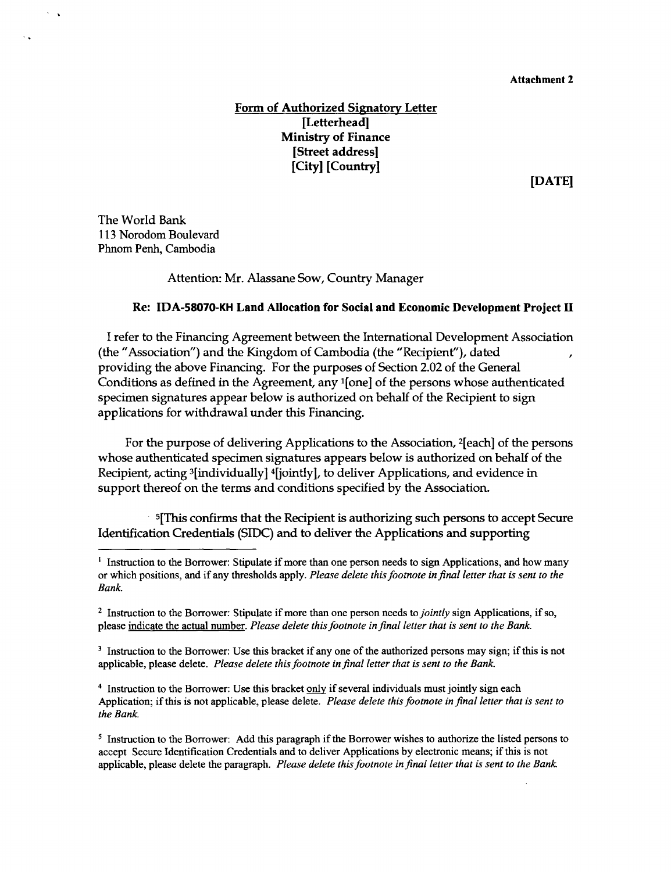# **Form of Authorized Signatory Letter [Letterhead] Ministry of Finance [Street address] [City] [Country]**

**[DATE]**

**The World Bank 113** Norodom Boulevard Phnom Penh, Cambodia

 $\sim$ 

 $\sim$   $\sim$ 

Attention: Mr. Alassane Sow, Country Manager

#### **Re: IDA-58070-KH Land Allocation for Social and Economic Development Project** H

**<sup>I</sup>**refer to the Financing Agreement between the International Development Association (the "Association") and the Kingdom of Cambodia (the "Recipient"), dated providing the above Financing. For the purposes of Section 2.02 of the General Conditions as defined in the Agreement, any 1[one] of the persons whose authenticated specimen signatures appear below is authorized on behalf of the Recipient to sign applications for withdrawal under this Financing.

For the purpose of delivering Applications to the Association, 2[eachl of the persons whose authenticated specimen signatures appears below is authorized on behalf of the Recipient, acting 3[individually] 4[jointly], to deliver Applications, and evidence in support thereof on the terms and conditions specified **by** the Association.

5[This confirms that the Recipient is authorizing such persons to accept Secure Identification Credentials (SIDC) and to deliver the Applications and supporting

4 Instruction to the Borrower: Use this bracket only if several individuals must jointly sign each Application; if this is not applicable, please delete. *Please delete this footnote in final letter that is sent to the Bank.*

<sup>&</sup>lt;sup>1</sup> Instruction to the Borrower: Stipulate if more than one person needs to sign Applications, and how many or which positions, and if any thresholds apply. *Please delete this footnote in final letter that is sent to the Bank.*

<sup>&</sup>lt;sup>2</sup> Instruction to the Borrower: Stipulate if more than one person needs to *jointly* sign Applications, if so, please indicate the actual number. *Please delete this footnote in final letter that is sent to the Bank.*

<sup>&</sup>lt;sup>3</sup> Instruction to the Borrower: Use this bracket if any one of the authorized persons may sign; if this is not applicable, please delete. *Please delete this footnote in final letter that is sent to the Bank.*

**<sup>5</sup>** Instruction to the Borrower: **Add** this paragraph if the Borrower wishes to authorize the listed persons to accept Secure Identification Credentials and to deliver Applications **by** electronic means; if this is not applicable, please delete the paragraph. *Please delete this footnote in final letter that is sent to the Bank.*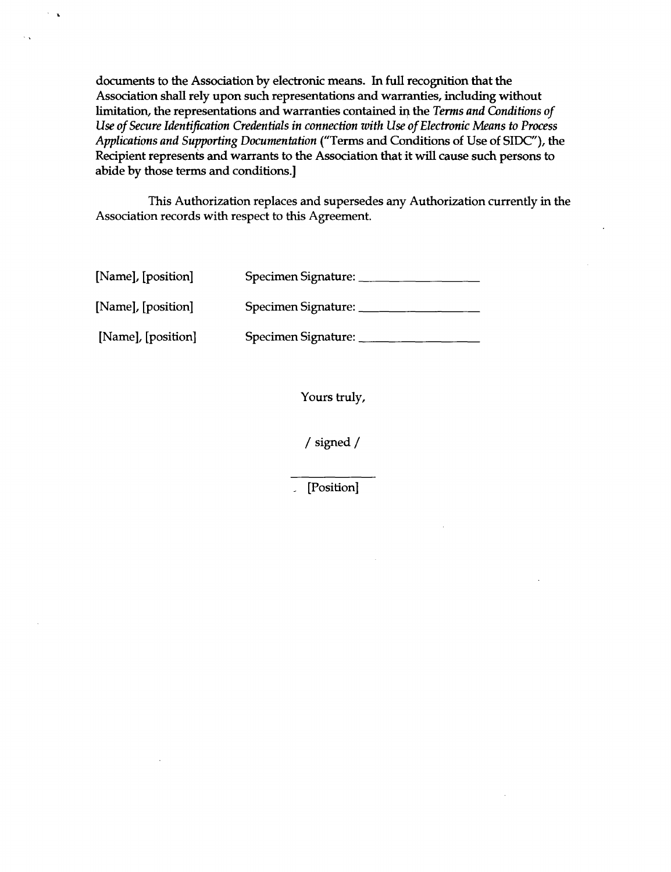documents to the Association **by** electronic means. In full recognition that the Association shall rely upon such representations and warranties, including without limitation, the representations and warranties contained **ir** the *Terms and Conditions of Use of Secure Identification Credentials in connection with Use of Electronic Means to Process Applications and Supporting Documentation* ("Terms and Conditions of Use of SIDC"), the Recipient represents and warrants to the Association that it will cause such persons to abide **by** those terms and conditions.]

This Authorization replaces and supersedes any Authorization currently in the Association records with respect to this Agreement.

| [Name], [position] | Specimen Signature: |
|--------------------|---------------------|
| [Name], [position] | Specimen Signature: |
| [Name], [position] | Specimen Signature: |

Yours truly,

**/** signed **/**

[Position]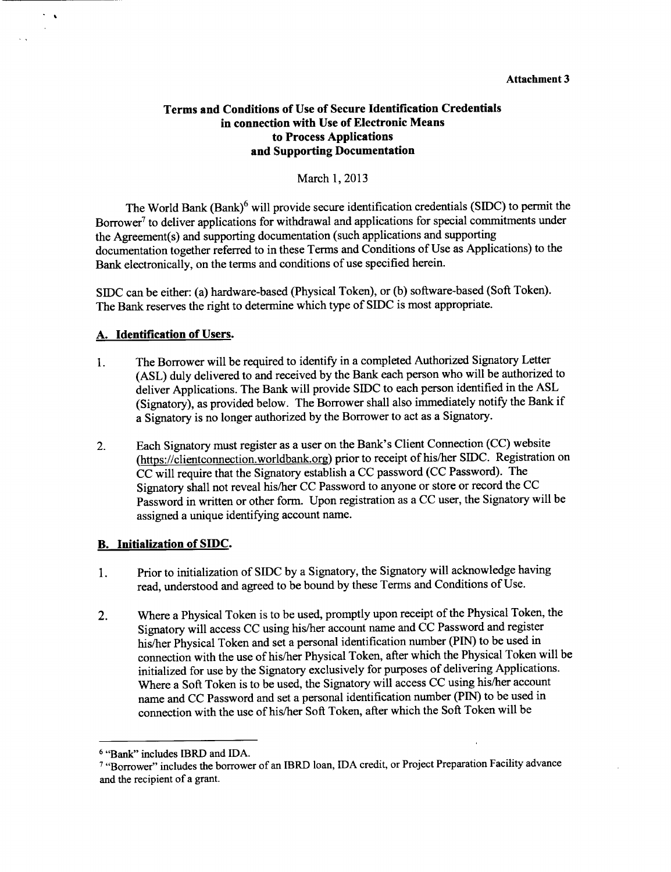### **Terms and Conditions of Use of Secure Identification Credentials in connection with Use of Electronic Means to Process Applications and Supporting Documentation**

March **1, 2013**

The World Bank (Bank)6 will provide secure identification credentials **(SIDC)** to permit the Borrower<sup>7</sup> to deliver applications for withdrawal and applications for special commitments under the Agreement(s) and supporting documentation (such applications and supporting documentation together referred to in these Terms and Conditions of Use as Applications) to the Bank electronically, on the terms and conditions of use specified herein.

SIDC can be either: (a) hardware-based (Physical Token), or **(b)** software-based (Soft Token). The Bank reserves the right to determine which type of **SIDC** is most appropriate.

#### **A. Identification of** Users.

 $\overline{\mathbf{r}}$ 

- 1. The Borrower will be required to identify in a completed Authorized Signatory Letter **(ASL)** duly delivered to and received **by** the Bank each person who will be authorized to deliver Applications. The Bank will provide **SIDC** to each person identified in the **ASL** (Signatory), as provided below. The Borrower shall also immediately notify the Bank if a Signatory is no longer authorized **by** the Borrower to act as a Signatory.
- 2. Each Signatory must register as a user on the Bank's Client Connection **(CC)** website (https://clientconnection.worldbank.org) prior to receipt of his/her SIDC. Registration on **CC** will require that the Signatory establish a **CC** password **(CC** Password). The Signatory shall not reveal his/her **CC** Password to anyone or store or record the **CC** Password in written or other form. Upon registration as a **CC** user, the Signatory will be assigned a unique identifying account name.

### B. **Initialization of SIDC.**

- 1. Prior to initialization of **SIDC by** a Signatory, the Signatory will acknowledge having read, understood and agreed to be bound **by** these Terms and Conditions of Use.
- 2. Where a Physical Token is to **be** used, promptly upon receipt of the Physical Token, the Signatory will access **CC** using his/her account name and **CC** Password and register his/her Physical Token and set a personal identification number (PIN) to be used in connection with the use of his/her Physical Token, after which the Physical Token will be initialized for use **by** the Signatory exclusively for purposes of delivering Applications. Where a Soft Token is to be used, the Signatory will access **CC** using his/her account name and **CC** Password and set a personal identification number (PIN) to be used in connection with the use of his/her Soft Token, after which the Soft Token will be

**<sup>6</sup>** "Bank" includes IBRD and **IDA.**

**<sup>7</sup>**"Borrower" includes the borrower of an IBRD loan, **IDA** credit, or Project Preparation Facility advance and the recipient of a grant.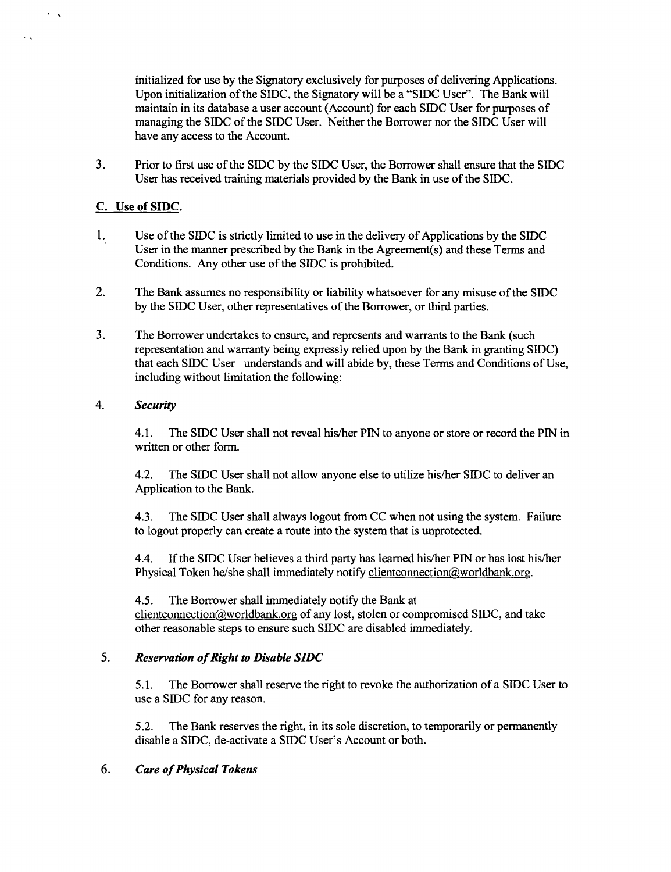initialized for use **by** the Signatory exclusively for purposes of delivering Applications. Upon initialization of the **SIDC,** the Signatory will be a **"SIDC** User". The Bank will maintain in its database a user account (Account) for each **SIDC** User for purposes of managing the **SIDC** of the **SIDC** User. Neither the Borrower nor the **SIDC** User will have any access to the Account.

**3.** Prior to first use of the **SIDC by** the **SIDC** User, the Borrower shall ensure that the **SIDC** User has received training materials provided **by** the Bank in use of the **SIDC.**

## **C.** Use of **SIDC.**

 $\mathcal{L}_{\mathcal{A}}$ 

 $\ddotsc$ 

- 1. Use of the **SIDC** is strictly limited to use in the delivery of Applications **by** the **SIDC** User in the manner prescribed **by** the Bank in the Agreement(s) and these Terms and Conditions. Any other use of the **SIDC** is prohibited.
- 2. The Bank assumes no responsibility or liability whatsoever for any misuse of the **SIDC by** the **SIDC** User, other representatives of the Borrower, or third parties.
- **3.** The Borrower undertakes to ensure, and represents and warrants to the Bank (such representation and warranty being expressly relied upon **by** the Bank in granting **SIDC)** that each **SIDC** User understands and will abide **by,** these Terms and Conditions of Use, including without limitation the following:

### *4. Security*

4.1. The SIDC User shall not reveal his/her **PIN** to anyone or store or record the **PIN** in written or other form.

4.2. The **SIDC** User shall not allow anyone else to utilize his/her **SIDC** to deliver an Application to the Bank.

4.3. The **SIDC** User shall always logout from **CC** when not using the system. Failure to logout properly can create a route into the system that is unprotected.

4.4. **If** the **SIDC** User believes a third party has learned his/her **PIN** or has lost his/her Physical Token he/she shall immediately notify clientconnection(a)worldbank.org.

*4.5.* The Borrower shall immediately notify the Bank at clientconnection@worldbank.org of any lost, stolen or compromised SIDC, and take other reasonable steps to ensure such **SIDC** are disabled immediately.

### *5. Reservation of Right to Disable SIDC*

*5.1.* The Borrower shall reserve the right to revoke the authorization of a **SIDC** User to use a **SIDC** for any reason.

*5.2.* The Bank reserves the right, in its sole discretion, to temporarily or permanently disable a **SIDC,** de-activate a SIDC User's Account or both.

## *6. Care of Physical Tokens*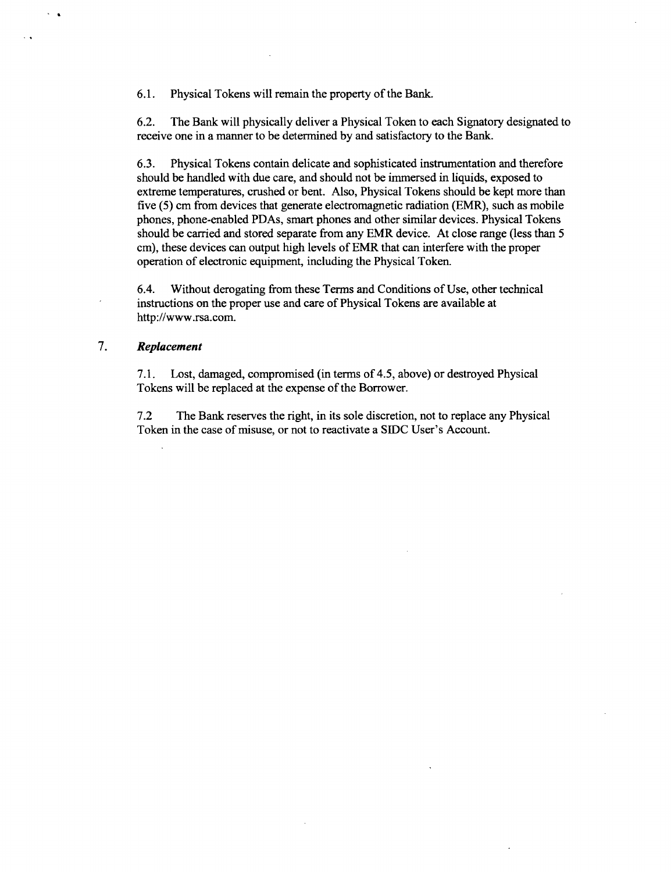**6.1.** Physical Tokens will remain the property of the Bank.

**6.2.** The Bank will physically deliver a Physical Token to each Signatory designated to receive one in a manner to be determined **by** and satisfactory to the Bank.

**6.3.** Physical Tokens contain delicate and sophisticated instrumentation and therefore should be handled with due care, and should not be immersed in liquids, exposed to extreme temperatures, crushed or bent. Also, Physical Tokens should be kept more than five **(5)** cm from devices that generate electromagnetic radiation (EMR), such as mobile phones, phone-enabled PDAs, smart phones and other similar devices. Physical Tokens should be carried and stored separate from any EMR device. At close range (less than **5** cm), these devices can output high levels of EMR that can interfere with the proper operation of electronic equipment, including the Physical Token.

6.4. Without derogating from these Terms and Conditions of Use, other technical instructions on the proper use and care of Physical Tokens are available at http://www.rsa.com.

#### 7. *Replacement*

**7.1.** Lost, damaged, compromised (in terms of 4.5, above) or destroyed Physical Tokens will be replaced at the expense of the Borrower.

**7.2** The Bank reserves the right, in its sole discretion, not to replace any Physical Token in the case of misuse, or not to reactivate a **SIDC** User's Account.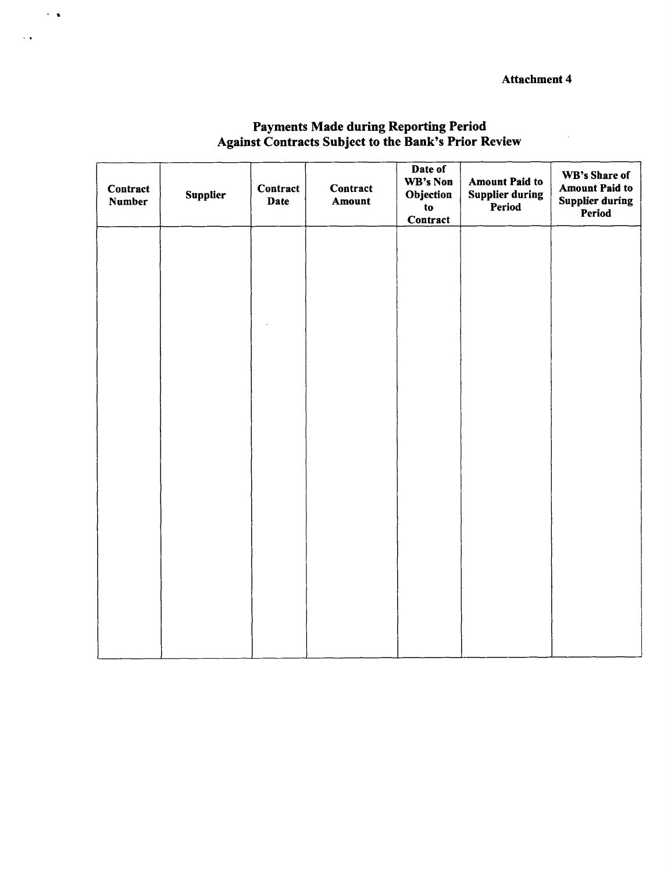| Contract<br><b>Number</b> | Supplier | Contract<br>Date | Contract<br>Amount | Date of<br>WB's Non<br>Objection<br>to<br>Contract | <b>Amount Paid to</b><br><b>Supplier during</b><br>Period | WB's Share of<br><b>Amount Paid to</b><br><b>Supplier during</b><br>Period |  |  |
|---------------------------|----------|------------------|--------------------|----------------------------------------------------|-----------------------------------------------------------|----------------------------------------------------------------------------|--|--|
|                           |          |                  |                    |                                                    |                                                           |                                                                            |  |  |
|                           |          |                  |                    |                                                    |                                                           |                                                                            |  |  |
|                           |          |                  |                    |                                                    |                                                           |                                                                            |  |  |
|                           |          |                  |                    |                                                    |                                                           |                                                                            |  |  |
|                           |          |                  |                    |                                                    |                                                           |                                                                            |  |  |
|                           |          |                  |                    |                                                    |                                                           |                                                                            |  |  |
|                           |          |                  |                    |                                                    |                                                           |                                                                            |  |  |
|                           |          |                  |                    |                                                    |                                                           |                                                                            |  |  |

# Payments Made during Reporting Period Against Contracts Subject to the Bank's Prior Review

 $\sim$   $\alpha$ 

 $\ddotsc$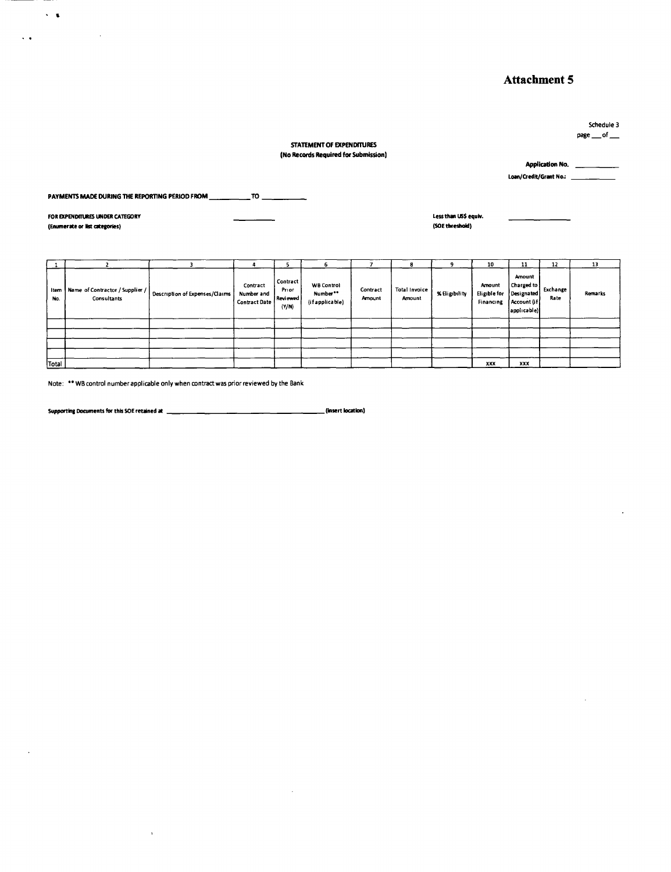Schedule **3** page  $\_\text{of}\_\text{...}$ 

#### **STATEMENT OF EXPENDITURES (No Records Required for Submission)**

**Application No.** \_\_\_\_ **Loan/Credit/Grant No:**

**PAYMENTS MADE DURING THE REPORTING PERIOD FROM \_TO**

**FOR EXPENDITURE5 UNDER CATEGORY Less than US\$ equiv. (Enumerate or lit categories) (50E threshold)**

 $\sim 100$ 

 $\sim$   $\alpha$  $\mathcal{A}(\bullet)$  and  $\mathcal{A}(\bullet)$  .

|             |                                                |                                |                                                |                                          | ъ.                                               |                    | я                       |               | 10                                  | 11                                                               | 12               | 13      |
|-------------|------------------------------------------------|--------------------------------|------------------------------------------------|------------------------------------------|--------------------------------------------------|--------------------|-------------------------|---------------|-------------------------------------|------------------------------------------------------------------|------------------|---------|
| Item<br>No. | Name of Contractor / Supplier /<br>Consultants | Description of Expenses/Claims | Contract<br>Number and<br><b>Contract Date</b> | Contract<br>Prior<br>J Reviewed<br>(Y/N) | <b>WB Control</b><br>Number**<br>(if applicable) | Contract<br>Amount | Total Invoice<br>Amount | % Eligibility | Amount<br>Eligible for<br>Financing | Amount<br>Charged to<br>Designated<br>Account (if<br>applicable) | Exchange<br>Rate | Remarks |
|             |                                                |                                |                                                |                                          |                                                  |                    |                         |               |                                     |                                                                  |                  |         |
|             |                                                |                                |                                                |                                          |                                                  |                    |                         |               |                                     |                                                                  |                  |         |
|             |                                                |                                |                                                |                                          |                                                  |                    |                         |               |                                     |                                                                  |                  |         |
|             |                                                |                                |                                                |                                          |                                                  |                    |                         |               |                                     |                                                                  |                  |         |
| Total       |                                                |                                |                                                |                                          |                                                  |                    |                         |               | XXX                                 | XXX                                                              |                  |         |

 $\hat{\mathcal{E}}$ 

Note: \*\* WB control number applicable only when contract was prior reviewed by the Bank

 $\bar{\mathbf{v}}$ 

**Supporting Documents for this 50E retained at (insert location)**